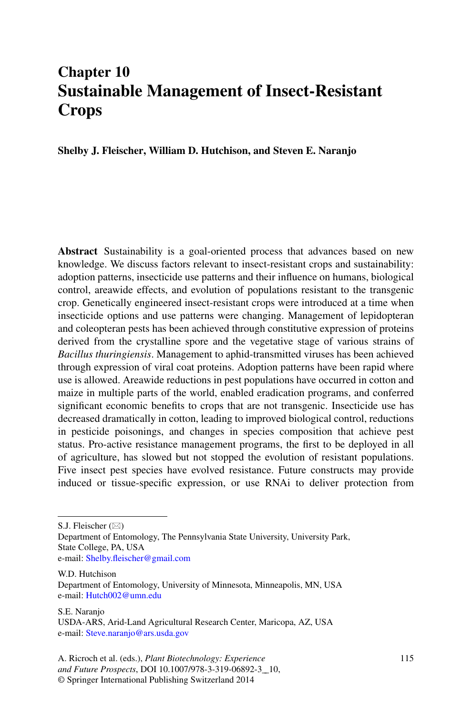# **Chapter 10 Sustainable Management of Insect-Resistant Crops**

**Shelby J. Fleischer, William D. Hutchison, and Steven E. Naranjo**

**Abstract** Sustainability is a goal-oriented process that advances based on new knowledge. We discuss factors relevant to insect-resistant crops and sustainability: adoption patterns, insecticide use patterns and their influence on humans, biological control, areawide effects, and evolution of populations resistant to the transgenic crop. Genetically engineered insect-resistant crops were introduced at a time when insecticide options and use patterns were changing. Management of lepidopteran and coleopteran pests has been achieved through constitutive expression of proteins derived from the crystalline spore and the vegetative stage of various strains of *Bacillus thuringiensis*. Management to aphid-transmitted viruses has been achieved through expression of viral coat proteins. Adoption patterns have been rapid where use is allowed. Areawide reductions in pest populations have occurred in cotton and maize in multiple parts of the world, enabled eradication programs, and conferred significant economic benefits to crops that are not transgenic. Insecticide use has decreased dramatically in cotton, leading to improved biological control, reductions in pesticide poisonings, and changes in species composition that achieve pest status. Pro-active resistance management programs, the first to be deployed in all of agriculture, has slowed but not stopped the evolution of resistant populations. Five insect pest species have evolved resistance. Future constructs may provide induced or tissue-specific expression, or use RNAi to deliver protection from

S.J. Fleischer ( $\boxtimes$ )

Department of Entomology, The Pennsylvania State University, University Park, State College, PA, USA e-mail: [Shelby.fleischer@gmail.com](mailto:Shelby.fleischer@gmail.com)

W.D. Hutchison Department of Entomology, University of Minnesota, Minneapolis, MN, USA e-mail: [Hutch002@umn.edu](mailto:Hutch002@umn.edu)

S.E. Naranjo USDA-ARS, Arid-Land Agricultural Research Center, Maricopa, AZ, USA e-mail: [Steve.naranjo@ars.usda.gov](mailto:Steve.naranjo@ars.usda.gov)

A. Ricroch et al. (eds.), *Plant Biotechnology: Experience and Future Prospects*, DOI 10.1007/978-3-319-06892-3\_\_10, © Springer International Publishing Switzerland 2014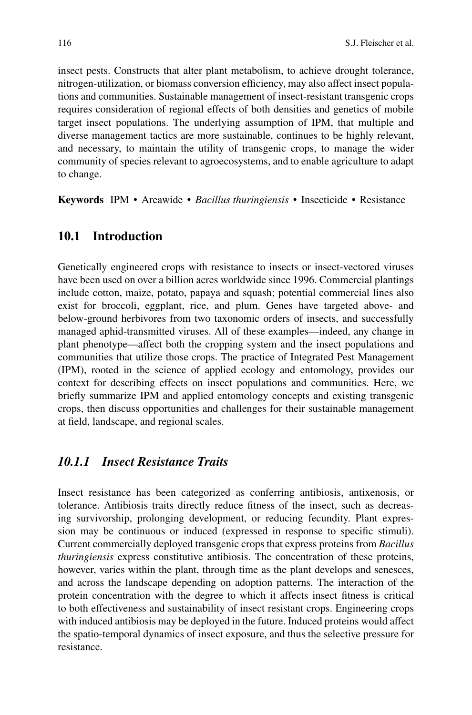insect pests. Constructs that alter plant metabolism, to achieve drought tolerance, nitrogen-utilization, or biomass conversion efficiency, may also affect insect populations and communities. Sustainable management of insect-resistant transgenic crops requires consideration of regional effects of both densities and genetics of mobile target insect populations. The underlying assumption of IPM, that multiple and diverse management tactics are more sustainable, continues to be highly relevant, and necessary, to maintain the utility of transgenic crops, to manage the wider community of species relevant to agroecosystems, and to enable agriculture to adapt to change.

**Keywords** IPM • Areawide • *Bacillus thuringiensis* • Insecticide • Resistance

# **10.1 Introduction**

Genetically engineered crops with resistance to insects or insect-vectored viruses have been used on over a billion acres worldwide since 1996. Commercial plantings include cotton, maize, potato, papaya and squash; potential commercial lines also exist for broccoli, eggplant, rice, and plum. Genes have targeted above- and below-ground herbivores from two taxonomic orders of insects, and successfully managed aphid-transmitted viruses. All of these examples—indeed, any change in plant phenotype—affect both the cropping system and the insect populations and communities that utilize those crops. The practice of Integrated Pest Management (IPM), rooted in the science of applied ecology and entomology, provides our context for describing effects on insect populations and communities. Here, we briefly summarize IPM and applied entomology concepts and existing transgenic crops, then discuss opportunities and challenges for their sustainable management at field, landscape, and regional scales.

# *10.1.1 Insect Resistance Traits*

Insect resistance has been categorized as conferring antibiosis, antixenosis, or tolerance. Antibiosis traits directly reduce fitness of the insect, such as decreasing survivorship, prolonging development, or reducing fecundity. Plant expression may be continuous or induced (expressed in response to specific stimuli). Current commercially deployed transgenic crops that express proteins from *Bacillus thuringiensis* express constitutive antibiosis. The concentration of these proteins, however, varies within the plant, through time as the plant develops and senesces, and across the landscape depending on adoption patterns. The interaction of the protein concentration with the degree to which it affects insect fitness is critical to both effectiveness and sustainability of insect resistant crops. Engineering crops with induced antibiosis may be deployed in the future. Induced proteins would affect the spatio-temporal dynamics of insect exposure, and thus the selective pressure for resistance.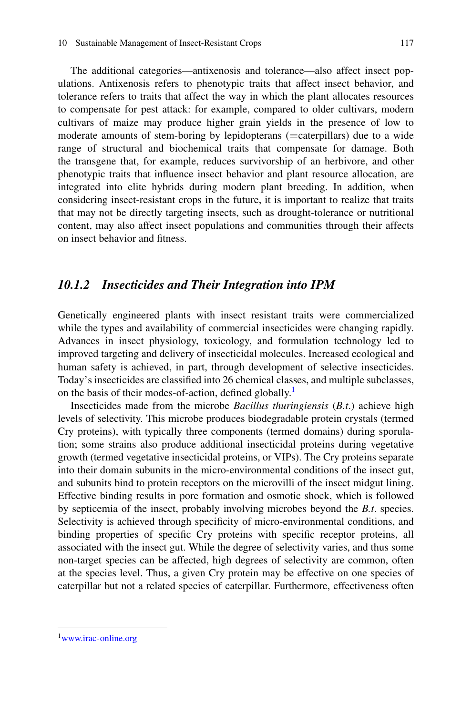The additional categories—antixenosis and tolerance—also affect insect populations. Antixenosis refers to phenotypic traits that affect insect behavior, and tolerance refers to traits that affect the way in which the plant allocates resources to compensate for pest attack: for example, compared to older cultivars, modern cultivars of maize may produce higher grain yields in the presence of low to moderate amounts of stem-boring by lepidopterans ( $=$ caterpillars) due to a wide range of structural and biochemical traits that compensate for damage. Both the transgene that, for example, reduces survivorship of an herbivore, and other phenotypic traits that influence insect behavior and plant resource allocation, are integrated into elite hybrids during modern plant breeding. In addition, when considering insect-resistant crops in the future, it is important to realize that traits that may not be directly targeting insects, such as drought-tolerance or nutritional content, may also affect insect populations and communities through their affects on insect behavior and fitness.

# *10.1.2 Insecticides and Their Integration into IPM*

Genetically engineered plants with insect resistant traits were commercialized while the types and availability of commercial insecticides were changing rapidly. Advances in insect physiology, toxicology, and formulation technology led to improved targeting and delivery of insecticidal molecules. Increased ecological and human safety is achieved, in part, through development of selective insecticides. Today's insecticides are classified into 26 chemical classes, and multiple subclasses, on the basis of their modes-of-action, defined globally.<sup>[1](#page-2-0)</sup>

Insecticides made from the microbe *Bacillus thuringiensis* (*B.t*.) achieve high levels of selectivity. This microbe produces biodegradable protein crystals (termed Cry proteins), with typically three components (termed domains) during sporulation; some strains also produce additional insecticidal proteins during vegetative growth (termed vegetative insecticidal proteins, or VIPs). The Cry proteins separate into their domain subunits in the micro-environmental conditions of the insect gut, and subunits bind to protein receptors on the microvilli of the insect midgut lining. Effective binding results in pore formation and osmotic shock, which is followed by septicemia of the insect, probably involving microbes beyond the *B.t*. species. Selectivity is achieved through specificity of micro-environmental conditions, and binding properties of specific Cry proteins with specific receptor proteins, all associated with the insect gut. While the degree of selectivity varies, and thus some non-target species can be affected, high degrees of selectivity are common, often at the species level. Thus, a given Cry protein may be effective on one species of caterpillar but not a related species of caterpillar. Furthermore, effectiveness often

<span id="page-2-0"></span>[<sup>1</sup>www.irac-online.org](www.irac-online.org)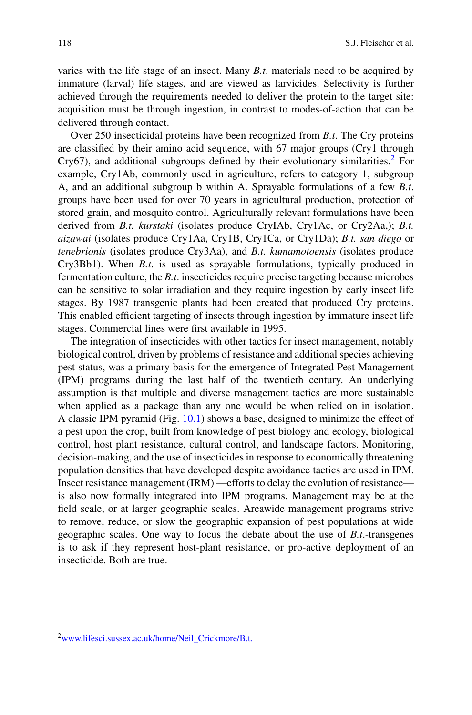varies with the life stage of an insect. Many *B.t*. materials need to be acquired by immature (larval) life stages, and are viewed as larvicides. Selectivity is further achieved through the requirements needed to deliver the protein to the target site: acquisition must be through ingestion, in contrast to modes-of-action that can be delivered through contact.

Over 250 insecticidal proteins have been recognized from *B.t*. The Cry proteins are classified by their amino acid sequence, with 67 major groups (Cry1 through Cry67), and additional subgroups defined by their evolutionary similarities.<sup>[2](#page-3-0)</sup> For example, Cry1Ab, commonly used in agriculture, refers to category 1, subgroup A, and an additional subgroup b within A. Sprayable formulations of a few *B.t*. groups have been used for over 70 years in agricultural production, protection of stored grain, and mosquito control. Agriculturally relevant formulations have been derived from *B.t. kurstaki* (isolates produce CryIAb, Cry1Ac, or Cry2Aa,); *B.t. aizawai* (isolates produce Cry1Aa, Cry1B, Cry1Ca, or Cry1Da); *B.t. san diego* or *tenebrionis* (isolates produce Cry3Aa), and *B.t. kumamotoensis* (isolates produce Cry3Bb1). When *B.t*. is used as sprayable formulations, typically produced in fermentation culture, the *B.t*. insecticides require precise targeting because microbes can be sensitive to solar irradiation and they require ingestion by early insect life stages. By 1987 transgenic plants had been created that produced Cry proteins. This enabled efficient targeting of insects through ingestion by immature insect life stages. Commercial lines were first available in 1995.

The integration of insecticides with other tactics for insect management, notably biological control, driven by problems of resistance and additional species achieving pest status, was a primary basis for the emergence of Integrated Pest Management (IPM) programs during the last half of the twentieth century. An underlying assumption is that multiple and diverse management tactics are more sustainable when applied as a package than any one would be when relied on in isolation. A classic IPM pyramid (Fig. [10.1\)](#page-4-0) shows a base, designed to minimize the effect of a pest upon the crop, built from knowledge of pest biology and ecology, biological control, host plant resistance, cultural control, and landscape factors. Monitoring, decision-making, and the use of insecticides in response to economically threatening population densities that have developed despite avoidance tactics are used in IPM. Insect resistance management (IRM) —efforts to delay the evolution of resistance is also now formally integrated into IPM programs. Management may be at the field scale, or at larger geographic scales. Areawide management programs strive to remove, reduce, or slow the geographic expansion of pest populations at wide geographic scales. One way to focus the debate about the use of *B.t*.-transgenes is to ask if they represent host-plant resistance, or pro-active deployment of an insecticide. Both are true.

<span id="page-3-0"></span> $2$ www.lifesci.sussex.ac.uk/home/Neil\_Crickmore/B.t.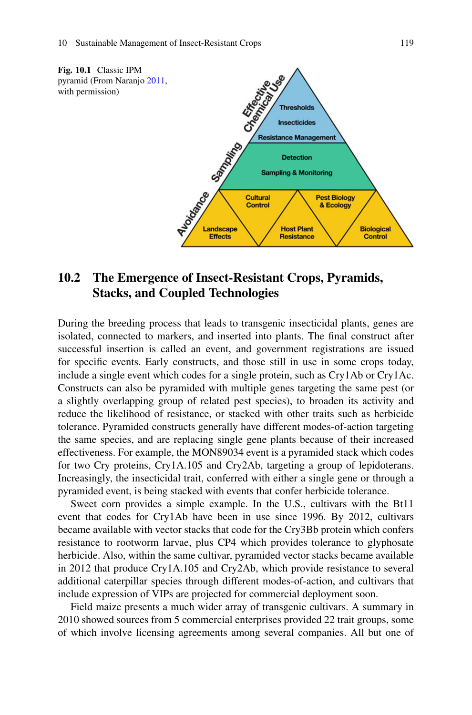<span id="page-4-0"></span>

# **10.2 The Emergence of Insect-Resistant Crops, Pyramids, Stacks, and Coupled Technologies**

During the breeding process that leads to transgenic insecticidal plants, genes are isolated, connected to markers, and inserted into plants. The final construct after successful insertion is called an event, and government registrations are issued for specific events. Early constructs, and those still in use in some crops today, include a single event which codes for a single protein, such as Cry1Ab or Cry1Ac. Constructs can also be pyramided with multiple genes targeting the same pest (or a slightly overlapping group of related pest species), to broaden its activity and reduce the likelihood of resistance, or stacked with other traits such as herbicide tolerance. Pyramided constructs generally have different modes-of-action targeting the same species, and are replacing single gene plants because of their increased effectiveness. For example, the MON89034 event is a pyramided stack which codes for two Cry proteins, Cry1A.105 and Cry2Ab, targeting a group of lepidoterans. Increasingly, the insecticidal trait, conferred with either a single gene or through a pyramided event, is being stacked with events that confer herbicide tolerance.

Sweet corn provides a simple example. In the U.S., cultivars with the Bt11 event that codes for Cry1Ab have been in use since 1996. By 2012, cultivars became available with vector stacks that code for the Cry3Bb protein which confers resistance to rootworm larvae, plus CP4 which provides tolerance to glyphosate herbicide. Also, within the same cultivar, pyramided vector stacks became available in 2012 that produce Cry1A.105 and Cry2Ab, which provide resistance to several additional caterpillar species through different modes-of-action, and cultivars that include expression of VIPs are projected for commercial deployment soon.

Field maize presents a much wider array of transgenic cultivars. A summary in 2010 showed sources from 5 commercial enterprises provided 22 trait groups, some of which involve licensing agreements among several companies. All but one of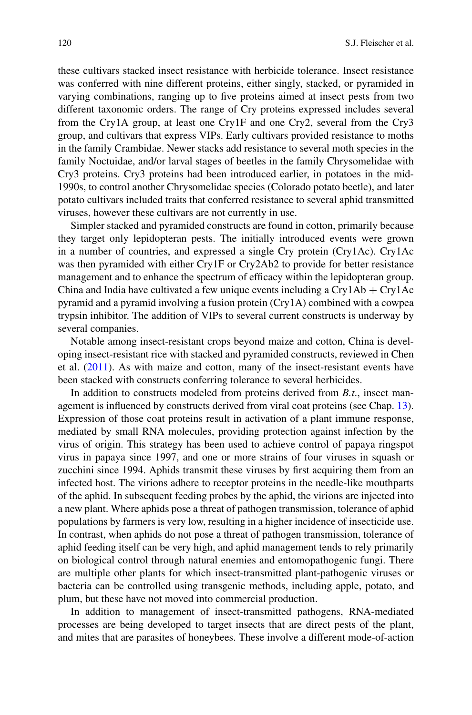these cultivars stacked insect resistance with herbicide tolerance. Insect resistance was conferred with nine different proteins, either singly, stacked, or pyramided in varying combinations, ranging up to five proteins aimed at insect pests from two different taxonomic orders. The range of Cry proteins expressed includes several from the Cry1A group, at least one Cry1F and one Cry2, several from the Cry3 group, and cultivars that express VIPs. Early cultivars provided resistance to moths in the family Crambidae. Newer stacks add resistance to several moth species in the family Noctuidae, and/or larval stages of beetles in the family Chrysomelidae with Cry3 proteins. Cry3 proteins had been introduced earlier, in potatoes in the mid-1990s, to control another Chrysomelidae species (Colorado potato beetle), and later potato cultivars included traits that conferred resistance to several aphid transmitted viruses, however these cultivars are not currently in use.

Simpler stacked and pyramided constructs are found in cotton, primarily because they target only lepidopteran pests. The initially introduced events were grown in a number of countries, and expressed a single Cry protein  $(Cry1Ac)$ . Cry1Ac was then pyramided with either Cry1F or Cry2Ab2 to provide for better resistance management and to enhance the spectrum of efficacy within the lepidopteran group. China and India have cultivated a few unique events including a Cry1Ab  $+$  Cry1Ac pyramid and a pyramid involving a fusion protein (Cry1A) combined with a cowpea trypsin inhibitor. The addition of VIPs to several current constructs is underway by several companies.

Notable among insect-resistant crops beyond maize and cotton, China is developing insect-resistant rice with stacked and pyramided constructs, reviewed in Chen et al. [\(2011\)](#page-12-1). As with maize and cotton, many of the insect-resistant events have been stacked with constructs conferring tolerance to several herbicides.

In addition to constructs modeled from proteins derived from *B.t*., insect management is influenced by constructs derived from viral coat proteins (see Chap. [13\)](http://dx.doi.org/10.1007/978-3-319-06892-3_13). Expression of those coat proteins result in activation of a plant immune response, mediated by small RNA molecules, providing protection against infection by the virus of origin. This strategy has been used to achieve control of papaya ringspot virus in papaya since 1997, and one or more strains of four viruses in squash or zucchini since 1994. Aphids transmit these viruses by first acquiring them from an infected host. The virions adhere to receptor proteins in the needle-like mouthparts of the aphid. In subsequent feeding probes by the aphid, the virions are injected into a new plant. Where aphids pose a threat of pathogen transmission, tolerance of aphid populations by farmers is very low, resulting in a higher incidence of insecticide use. In contrast, when aphids do not pose a threat of pathogen transmission, tolerance of aphid feeding itself can be very high, and aphid management tends to rely primarily on biological control through natural enemies and entomopathogenic fungi. There are multiple other plants for which insect-transmitted plant-pathogenic viruses or bacteria can be controlled using transgenic methods, including apple, potato, and plum, but these have not moved into commercial production.

In addition to management of insect-transmitted pathogens, RNA-mediated processes are being developed to target insects that are direct pests of the plant, and mites that are parasites of honeybees. These involve a different mode-of-action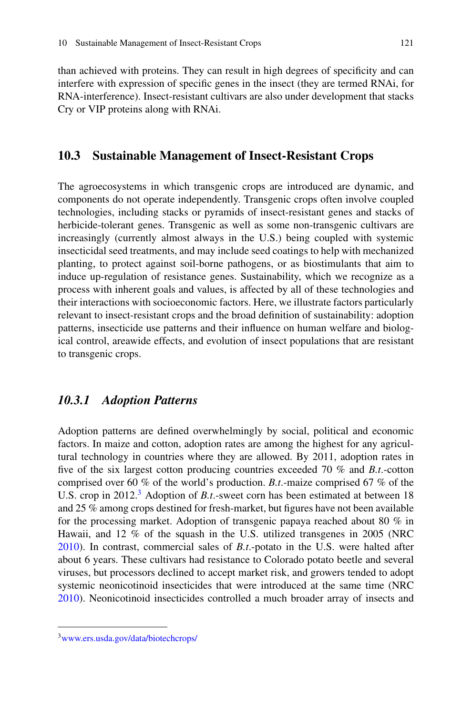than achieved with proteins. They can result in high degrees of specificity and can interfere with expression of specific genes in the insect (they are termed RNAi, for RNA-interference). Insect-resistant cultivars are also under development that stacks Cry or VIP proteins along with RNAi.

## **10.3 Sustainable Management of Insect-Resistant Crops**

The agroecosystems in which transgenic crops are introduced are dynamic, and components do not operate independently. Transgenic crops often involve coupled technologies, including stacks or pyramids of insect-resistant genes and stacks of herbicide-tolerant genes. Transgenic as well as some non-transgenic cultivars are increasingly (currently almost always in the U.S.) being coupled with systemic insecticidal seed treatments, and may include seed coatings to help with mechanized planting, to protect against soil-borne pathogens, or as biostimulants that aim to induce up-regulation of resistance genes. Sustainability, which we recognize as a process with inherent goals and values, is affected by all of these technologies and their interactions with socioeconomic factors. Here, we illustrate factors particularly relevant to insect-resistant crops and the broad definition of sustainability: adoption patterns, insecticide use patterns and their influence on human welfare and biological control, areawide effects, and evolution of insect populations that are resistant to transgenic crops.

#### *10.3.1 Adoption Patterns*

Adoption patterns are defined overwhelmingly by social, political and economic factors. In maize and cotton, adoption rates are among the highest for any agricultural technology in countries where they are allowed. By 2011, adoption rates in five of the six largest cotton producing countries exceeded 70 % and *B.t*.-cotton comprised over 60 % of the world's production. *B.t*.-maize comprised 67 % of the U.S. crop in 2012.<sup>[3](#page-6-0)</sup> Adoption of *B.t.*-sweet corn has been estimated at between 18 and 25 % among crops destined for fresh-market, but figures have not been available for the processing market. Adoption of transgenic papaya reached about 80 % in Hawaii, and 12 % of the squash in the U.S. utilized transgenes in 2005 (NRC [2010\)](#page-12-2). In contrast, commercial sales of *B.t*.-potato in the U.S. were halted after about 6 years. These cultivars had resistance to Colorado potato beetle and several viruses, but processors declined to accept market risk, and growers tended to adopt systemic neonicotinoid insecticides that were introduced at the same time (NRC [2010\)](#page-12-2). Neonicotinoid insecticides controlled a much broader array of insects and

<span id="page-6-0"></span>[<sup>3</sup>www.ers.usda.gov/data/biotechcrops/](www.ers.usda.gov/data/biotechcrops/)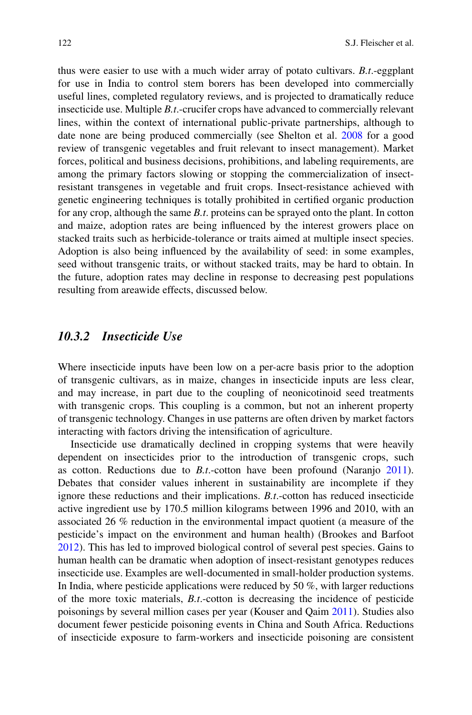thus were easier to use with a much wider array of potato cultivars. *B.t*.-eggplant for use in India to control stem borers has been developed into commercially useful lines, completed regulatory reviews, and is projected to dramatically reduce insecticide use. Multiple *B.t*.-crucifer crops have advanced to commercially relevant lines, within the context of international public-private partnerships, although to date none are being produced commercially (see Shelton et al. [2008](#page-12-3) for a good review of transgenic vegetables and fruit relevant to insect management). Market forces, political and business decisions, prohibitions, and labeling requirements, are among the primary factors slowing or stopping the commercialization of insectresistant transgenes in vegetable and fruit crops. Insect-resistance achieved with genetic engineering techniques is totally prohibited in certified organic production for any crop, although the same *B.t*. proteins can be sprayed onto the plant. In cotton and maize, adoption rates are being influenced by the interest growers place on stacked traits such as herbicide-tolerance or traits aimed at multiple insect species. Adoption is also being influenced by the availability of seed: in some examples, seed without transgenic traits, or without stacked traits, may be hard to obtain. In the future, adoption rates may decline in response to decreasing pest populations resulting from areawide effects, discussed below.

## *10.3.2 Insecticide Use*

Where insecticide inputs have been low on a per-acre basis prior to the adoption of transgenic cultivars, as in maize, changes in insecticide inputs are less clear, and may increase, in part due to the coupling of neonicotinoid seed treatments with transgenic crops. This coupling is a common, but not an inherent property of transgenic technology. Changes in use patterns are often driven by market factors interacting with factors driving the intensification of agriculture.

Insecticide use dramatically declined in cropping systems that were heavily dependent on insecticides prior to the introduction of transgenic crops, such as cotton. Reductions due to *B.t*.-cotton have been profound (Naranjo [2011\)](#page-12-0). Debates that consider values inherent in sustainability are incomplete if they ignore these reductions and their implications. *B.t*.-cotton has reduced insecticide active ingredient use by 170.5 million kilograms between 1996 and 2010, with an associated 26 % reduction in the environmental impact quotient (a measure of the pesticide's impact on the environment and human health) (Brookes and Barfoot [2012\)](#page-12-4). This has led to improved biological control of several pest species. Gains to human health can be dramatic when adoption of insect-resistant genotypes reduces insecticide use. Examples are well-documented in small-holder production systems. In India, where pesticide applications were reduced by 50 %, with larger reductions of the more toxic materials, *B.t*.-cotton is decreasing the incidence of pesticide poisonings by several million cases per year (Kouser and Qaim [2011\)](#page-12-5). Studies also document fewer pesticide poisoning events in China and South Africa. Reductions of insecticide exposure to farm-workers and insecticide poisoning are consistent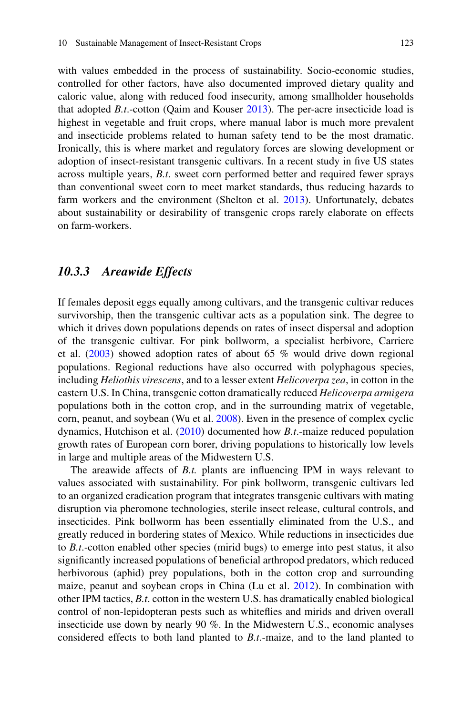with values embedded in the process of sustainability. Socio-economic studies, controlled for other factors, have also documented improved dietary quality and caloric value, along with reduced food insecurity, among smallholder households that adopted *B.t*.-cotton (Qaim and Kouser [2013\)](#page-12-6). The per-acre insecticide load is highest in vegetable and fruit crops, where manual labor is much more prevalent and insecticide problems related to human safety tend to be the most dramatic. Ironically, this is where market and regulatory forces are slowing development or adoption of insect-resistant transgenic cultivars. In a recent study in five US states across multiple years, *B.t*. sweet corn performed better and required fewer sprays than conventional sweet corn to meet market standards, thus reducing hazards to farm workers and the environment (Shelton et al. [2013\)](#page-12-7). Unfortunately, debates about sustainability or desirability of transgenic crops rarely elaborate on effects on farm-workers.

#### *10.3.3 Areawide Effects*

If females deposit eggs equally among cultivars, and the transgenic cultivar reduces survivorship, then the transgenic cultivar acts as a population sink. The degree to which it drives down populations depends on rates of insect dispersal and adoption of the transgenic cultivar. For pink bollworm, a specialist herbivore, Carriere et al. [\(2003\)](#page-12-8) showed adoption rates of about 65 % would drive down regional populations. Regional reductions have also occurred with polyphagous species, including *Heliothis virescens*, and to a lesser extent *Helicoverpa zea*, in cotton in the eastern U.S. In China, transgenic cotton dramatically reduced *Helicoverpa armigera* populations both in the cotton crop, and in the surrounding matrix of vegetable, corn, peanut, and soybean (Wu et al. [2008\)](#page-12-9). Even in the presence of complex cyclic dynamics, Hutchison et al. [\(2010\)](#page-12-10) documented how *B.t*.-maize reduced population growth rates of European corn borer, driving populations to historically low levels in large and multiple areas of the Midwestern U.S.

The areawide affects of *B.t.* plants are influencing IPM in ways relevant to values associated with sustainability. For pink bollworm, transgenic cultivars led to an organized eradication program that integrates transgenic cultivars with mating disruption via pheromone technologies, sterile insect release, cultural controls, and insecticides. Pink bollworm has been essentially eliminated from the U.S., and greatly reduced in bordering states of Mexico. While reductions in insecticides due to *B.t*.-cotton enabled other species (mirid bugs) to emerge into pest status, it also significantly increased populations of beneficial arthropod predators, which reduced herbivorous (aphid) prey populations, both in the cotton crop and surrounding maize, peanut and soybean crops in China (Lu et al. [2012\)](#page-12-11). In combination with other IPM tactics, *B.t*. cotton in the western U.S. has dramatically enabled biological control of non-lepidopteran pests such as whiteflies and mirids and driven overall insecticide use down by nearly 90 %. In the Midwestern U.S., economic analyses considered effects to both land planted to *B.t*.-maize, and to the land planted to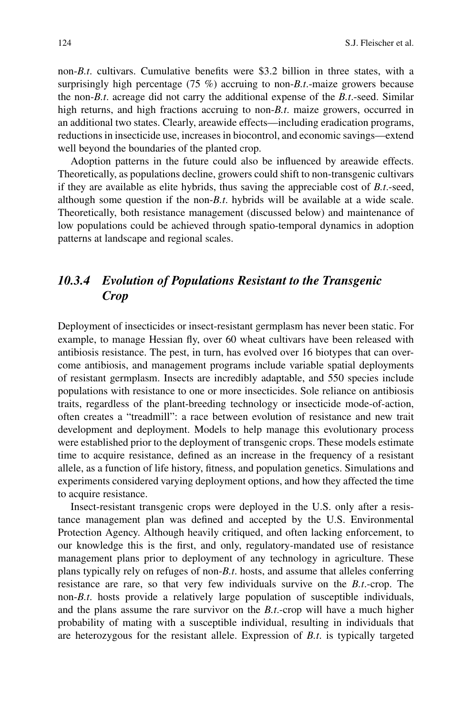non-*B.t*. cultivars. Cumulative benefits were \$3.2 billion in three states, with a surprisingly high percentage (75 %) accruing to non-*B.t*.-maize growers because the non-*B.t*. acreage did not carry the additional expense of the *B.t*.-seed. Similar high returns, and high fractions accruing to non-*B.t*. maize growers, occurred in an additional two states. Clearly, areawide effects—including eradication programs, reductions in insecticide use, increases in biocontrol, and economic savings—extend well beyond the boundaries of the planted crop.

Adoption patterns in the future could also be influenced by areawide effects. Theoretically, as populations decline, growers could shift to non-transgenic cultivars if they are available as elite hybrids, thus saving the appreciable cost of *B.t*.-seed, although some question if the non-*B.t*. hybrids will be available at a wide scale. Theoretically, both resistance management (discussed below) and maintenance of low populations could be achieved through spatio-temporal dynamics in adoption patterns at landscape and regional scales.

# *10.3.4 Evolution of Populations Resistant to the Transgenic Crop*

Deployment of insecticides or insect-resistant germplasm has never been static. For example, to manage Hessian fly, over 60 wheat cultivars have been released with antibiosis resistance. The pest, in turn, has evolved over 16 biotypes that can overcome antibiosis, and management programs include variable spatial deployments of resistant germplasm. Insects are incredibly adaptable, and 550 species include populations with resistance to one or more insecticides. Sole reliance on antibiosis traits, regardless of the plant-breeding technology or insecticide mode-of-action, often creates a "treadmill": a race between evolution of resistance and new trait development and deployment. Models to help manage this evolutionary process were established prior to the deployment of transgenic crops. These models estimate time to acquire resistance, defined as an increase in the frequency of a resistant allele, as a function of life history, fitness, and population genetics. Simulations and experiments considered varying deployment options, and how they affected the time to acquire resistance.

Insect-resistant transgenic crops were deployed in the U.S. only after a resistance management plan was defined and accepted by the U.S. Environmental Protection Agency. Although heavily critiqued, and often lacking enforcement, to our knowledge this is the first, and only, regulatory-mandated use of resistance management plans prior to deployment of any technology in agriculture. These plans typically rely on refuges of non-*B.t*. hosts, and assume that alleles conferring resistance are rare, so that very few individuals survive on the *B.t*.-crop. The non-*B.t*. hosts provide a relatively large population of susceptible individuals, and the plans assume the rare survivor on the *B.t*.-crop will have a much higher probability of mating with a susceptible individual, resulting in individuals that are heterozygous for the resistant allele. Expression of *B.t*. is typically targeted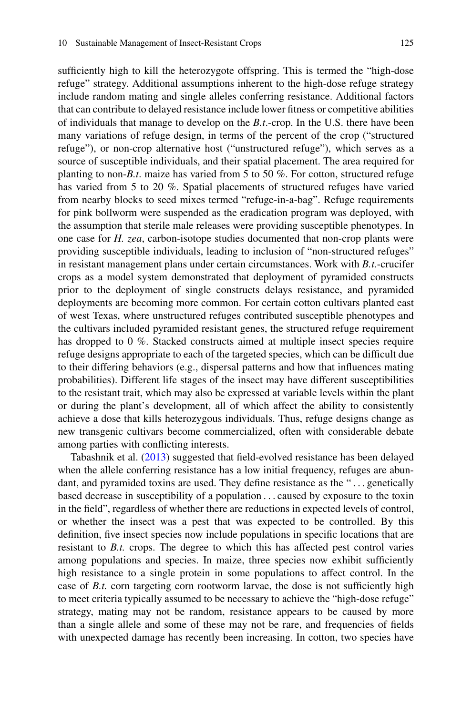sufficiently high to kill the heterozygote offspring. This is termed the "high-dose refuge" strategy. Additional assumptions inherent to the high-dose refuge strategy include random mating and single alleles conferring resistance. Additional factors that can contribute to delayed resistance include lower fitness or competitive abilities of individuals that manage to develop on the *B.t*.-crop. In the U.S. there have been many variations of refuge design, in terms of the percent of the crop ("structured refuge"), or non-crop alternative host ("unstructured refuge"), which serves as a source of susceptible individuals, and their spatial placement. The area required for planting to non-*B.t*. maize has varied from 5 to 50 %. For cotton, structured refuge has varied from 5 to 20 %. Spatial placements of structured refuges have varied from nearby blocks to seed mixes termed "refuge-in-a-bag". Refuge requirements for pink bollworm were suspended as the eradication program was deployed, with the assumption that sterile male releases were providing susceptible phenotypes. In one case for *H. zea*, carbon-isotope studies documented that non-crop plants were providing susceptible individuals, leading to inclusion of "non-structured refuges" in resistant management plans under certain circumstances. Work with *B.t.*-crucifer crops as a model system demonstrated that deployment of pyramided constructs prior to the deployment of single constructs delays resistance, and pyramided deployments are becoming more common. For certain cotton cultivars planted east of west Texas, where unstructured refuges contributed susceptible phenotypes and the cultivars included pyramided resistant genes, the structured refuge requirement has dropped to 0 %. Stacked constructs aimed at multiple insect species require refuge designs appropriate to each of the targeted species, which can be difficult due to their differing behaviors (e.g., dispersal patterns and how that influences mating probabilities). Different life stages of the insect may have different susceptibilities to the resistant trait, which may also be expressed at variable levels within the plant or during the plant's development, all of which affect the ability to consistently achieve a dose that kills heterozygous individuals. Thus, refuge designs change as new transgenic cultivars become commercialized, often with considerable debate among parties with conflicting interests.

Tabashnik et al. [\(2013\)](#page-12-12) suggested that field-evolved resistance has been delayed when the allele conferring resistance has a low initial frequency, refuges are abundant, and pyramided toxins are used. They define resistance as the "... genetically based decrease in susceptibility of a population ... caused by exposure to the toxin in the field", regardless of whether there are reductions in expected levels of control, or whether the insect was a pest that was expected to be controlled. By this definition, five insect species now include populations in specific locations that are resistant to *B.t.* crops. The degree to which this has affected pest control varies among populations and species. In maize, three species now exhibit sufficiently high resistance to a single protein in some populations to affect control. In the case of *B.t.* corn targeting corn rootworm larvae, the dose is not sufficiently high to meet criteria typically assumed to be necessary to achieve the "high-dose refuge" strategy, mating may not be random, resistance appears to be caused by more than a single allele and some of these may not be rare, and frequencies of fields with unexpected damage has recently been increasing. In cotton, two species have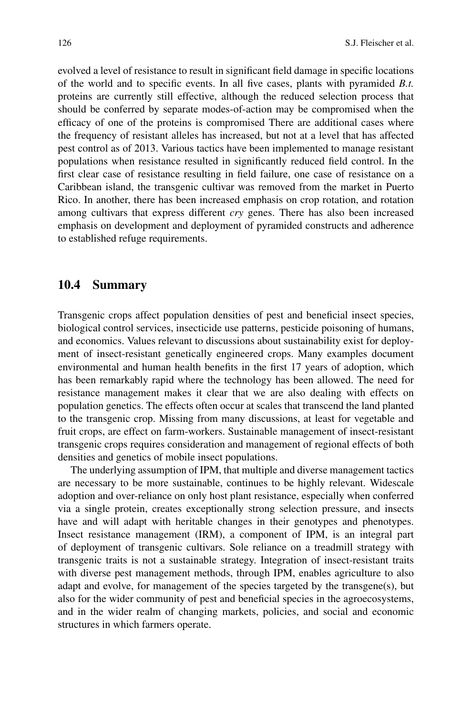evolved a level of resistance to result in significant field damage in specific locations of the world and to specific events. In all five cases, plants with pyramided *B.t.* proteins are currently still effective, although the reduced selection process that should be conferred by separate modes-of-action may be compromised when the efficacy of one of the proteins is compromised There are additional cases where the frequency of resistant alleles has increased, but not at a level that has affected pest control as of 2013. Various tactics have been implemented to manage resistant populations when resistance resulted in significantly reduced field control. In the first clear case of resistance resulting in field failure, one case of resistance on a Caribbean island, the transgenic cultivar was removed from the market in Puerto Rico. In another, there has been increased emphasis on crop rotation, and rotation among cultivars that express different *cry* genes. There has also been increased emphasis on development and deployment of pyramided constructs and adherence to established refuge requirements.

# **10.4 Summary**

Transgenic crops affect population densities of pest and beneficial insect species, biological control services, insecticide use patterns, pesticide poisoning of humans, and economics. Values relevant to discussions about sustainability exist for deployment of insect-resistant genetically engineered crops. Many examples document environmental and human health benefits in the first 17 years of adoption, which has been remarkably rapid where the technology has been allowed. The need for resistance management makes it clear that we are also dealing with effects on population genetics. The effects often occur at scales that transcend the land planted to the transgenic crop. Missing from many discussions, at least for vegetable and fruit crops, are effect on farm-workers. Sustainable management of insect-resistant transgenic crops requires consideration and management of regional effects of both densities and genetics of mobile insect populations.

The underlying assumption of IPM, that multiple and diverse management tactics are necessary to be more sustainable, continues to be highly relevant. Widescale adoption and over-reliance on only host plant resistance, especially when conferred via a single protein, creates exceptionally strong selection pressure, and insects have and will adapt with heritable changes in their genotypes and phenotypes. Insect resistance management (IRM), a component of IPM, is an integral part of deployment of transgenic cultivars. Sole reliance on a treadmill strategy with transgenic traits is not a sustainable strategy. Integration of insect-resistant traits with diverse pest management methods, through IPM, enables agriculture to also adapt and evolve, for management of the species targeted by the transgene(s), but also for the wider community of pest and beneficial species in the agroecosystems, and in the wider realm of changing markets, policies, and social and economic structures in which farmers operate.